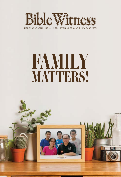

MCI (P) 044/04/2022 | ISSN: 0219-5364 | VOLUME 22 ISSUE 3 (MAY–JUNE 2022)

# *FAMILY MATTERS!*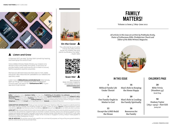

#### **Listen and Grow**

In Romans 10:17, we read, "So then faith cometh by hearing, and hearing by the word of God."

Here at Bible Witness Media Ministry, our mission is to declare God's truths boldly and clearly. To this end, we provide helpful audio resources for you to listen to sound, faithful exposition anytime, anywhere.

We have on-demand resources that cater to men, ladies and youth. New resources are uploaded to our website and app every week.

Listen now at **biblewitness.com/ondemand**. Alternatively, listen on the go with Gethsemane Bible-Presbyterian Church's app. Just search for "**Gethsemane BPC**" in your app store to get started.



**On the Cover**

"Thy wife shall be as a fruitful vine by the sides of thine house: thy children like olive plants round about thy table." —Psalm 128:3





Back issues of Bible Witness magazine are available online at biblewitness.com/ magazine

**Editor** Prabhudas Koshy **Assistant Editor** Ho Kee How **Publishing & Circulation Co-ordinator** Lok Kwok Wah **Technical Editors** Jenny Lok, Lok Kwok Wah, Mah Lean Choo **Layout & Illustrations** Matthew Peh **Children's Story Illustration** Andronicus Koshy **Publisher** Bible Witness Media Ministry of Gethsemane Bible-Presbyterian Church, Singapore **Printer** Ee Tai Press Pte Ltd **Mailing Address** Bible Witness Media Ministry, 33 Ubi Crescent, Singapore 408584 **Telephone** (65) 6741 1910 **E-mail** bwmm.gbpc@gmail.com **Website** www.biblewitness.com

**SUBSCRIPTION INFORMATION** "Freely ye have received, freely give" (Matthew 10:8). This magazine is distributed free from 2006 onwards. Postage and handling charges still apply. 2 years (12 issues): S\$10.00 Singapore/Malaysia surface mail delivery, S\$14.00 international surface mail delivery; S\$26.00 Asia air mail, S\$34.00 for air mail to all other countries.

**LOVE-GIFT** Bible Witness Media Ministry welcomes love-gifts from readers to meet the cost of publishing and distribution. The Ministry also sends the magazine freely to churches in poorer countries. Hence your generous support is much needed and greatly appreciated. Love-gifts may be sent via bank transfer (DBS Bank a/c no. 025-011173-7; swift code: DBSSSGSG), PayPal (an additional S\$2.00 charge will be incurred) or Singapore currency cheque made payable to "Gethsemane Bible-Presbyterian Church".

**USE OF ARTICLES** The articles may be freely used for non-commercial purposes, so long as they are quoted verbatim, and the writer as well as the source identified.

## FAMILY MATTERS!

Volume 22 Issue 3 | May–June 2022

*All articles in this issue are written by Prabhudas Koshy, Pastor of Gethsemane Bible-Presbyterian Church and Editor of the Bible Witness Magazine.*



#### IN THIS ISSUE **CHILDREN'S PAGE**

| 4                                                   | 16                                                    | 28                                                |
|-----------------------------------------------------|-------------------------------------------------------|---------------------------------------------------|
| <b>Biblical Family Life</b><br><b>Under Threat!</b> | Man's Role in Keeping<br>the Home Happy               | <b>Bible Trivia</b><br>(Numbers 35)<br>Sarah Yong |
| 8<br>Our Family Ought to<br>Matter to God           | 20<br>Man's Role in Leading<br>the Family Spiritually | 30<br>Hudson Taylo<br>$(1832 - 1905)$ -Part       |
| 12                                                  | 26                                                    | Jenny Lok                                         |
| <b>Except the LORD Build</b><br>the House           | Resources for<br>the Famliy                           |                                                   |

Hudson Taylor t XIII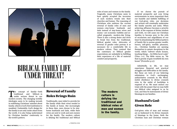

# *BIBLICAL FAMILY LIFE UNDER THREAT!*

The concept of family—both traditional and biblical—is under serious threat in our modern society. The changing worldly traditional and biblical—is under serious threat in our ideologies seem to be making inroads in redefining Christians' mindset about family, which is God's first institution to mankind. Undeniably, God's design for the family is not only under attack from the world, it is also being undermined by Christian families' conformity to the world's pattern.

## Reversal of Family Roles Brings Ruin

Traditionally, men toiled to provide for the family while their wives tended to the family at home. But increasingly in these days, men choose to be stayhome husbands and dads, while their wives are sent to work and earn money for the family. The modern culture is defying the traditional and biblical

roles of men and women in the family. Tragically, many Christians seem to have quietly accepted the incursion of such modern trends into their churches and homes. The reasoning of Christians who embrace the current reversal of family roles of men and women—stay-home husbands and dads instead of stay-home wives and mums—are economic viability and socalled pragmatic, modern-day living. There is also a strong desire and drive to break free from the traditional, biblical gender roles. Advocates of reversal of gender roles portray it as necessary for a comfortable life in modern culture. They contend that the customary or biblical gender expectations are unhelpful in fulfilling their experience of a life of material comfort and prosperity.



in the family.

If we choose the pursuit of material prosperity and cosy living environments as more important than our humble and faithful fulfilling of our God-given roles, our decisions and actions will eventually undermine the family sanctity and unity. When achieving affluence becomes a priority in life, at the expense of divine wisdom and truth, we will cause our Christian families to become prey to the evils of secularism and ungodliness of our time! In abandoning the biblical pattern of family life to pursue greater wealth, luxury, self-glory, worldly pleasures, etc., Christian families are opening themselves to satanic deceptions in the world, which "subvert whole houses, teaching things … for filthy lucre's sake" (Titus 1:11). The Bible warns us, "He that is greedy of gain troubleth his own house" (Proverbs 15:27).

Admittedly, in life, we may experience financial and practical struggles and difficulties in the family. But these are tests of our believing submission to God's unchanging, authoritative counsels in His Word. Joyful obedience to divine counsels even in the midst of hardships is required of us. We must endure our trials with the prayer that we may fulfil our biblical roles assigned to us by God, and thus be instruments of divine blessings in our families.

## Husband's God-Given Role

God-given roles of man and woman are so fashioned to be divine channels of blessings in the home. Both the Christian man and Christian woman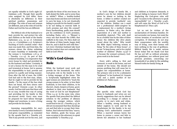are equally valuable in God's sight (cf. Galatians 3:28). Though their specific roles assigned by God differ, there is absolutely no difference in their spiritual position, possessions and privilege. The roles of man and woman are different, just as the roles of God the Father and God the Son are different.

The biblical role of the husband is to lead, provide for, and protect his wife and children as the head of the family (Ephesians 5:23, 25–32; cf. Colossians 3:19–21; 1 Corinthians 11:3). Scripture's teaching of God's creation order—that man was made first, and from him, the woman—shows the divine ordaining of man's headship or leadership over the woman (1 Corinthians 11:8–9; cf. 1 Timothy 2:12–13). As part of that ordained headship, it is imperative that every house be ruled and provided for by the husband and father. Certainly, it is not a licence for the man to be cruel and tyrannical at home, but to assume his responsibility to lead, provide and protect in a godly and loving manner. Even after the fall of man, the LORD God had said to the first man, Adam, that he ought to toil to provide for his family—"In the sweat of thy face shalt thou eat bread, till thou return unto the ground" (Genesis 3:19a). In other words, God has told man that there will be no easy, trouble-free way of caring and providing for his family in this sin-marred world. Every man must be prepared for hard labour through fatigue and weariness, to earn a living and provide for his family.

Assuming responsibility for one's own family is every Christian husband's God-given responsibility, as reminded by the apostle Paul in 1 Timothy 5:8, "But if any provide not for his own, and specially for those of his own house, he hath denied the faith, and is worse than an infidel"! When a healthy-bodied man stays home and does not work hard to earn his keep, is he not drastically failing to provide for his family's needs? Is he not failing to exercise faith in God's promise and obey His counsel? Every hardworking, godly man should put his confidence in God's promises, including Psalm 128:1, 2—"Blessed is every one that feareth the LORD; that walketh in his ways. For thou shalt eat the labour of thine hands: happy shalt thou be, and it shall be well with thee." Let every Christian husband take heed that his conduct does not contradict his faith in God's Word.

## Wife's God-Given Role

While the husband must work and provide for the household, the wife's God-given role in the family is to be a loving manager of the home. This is Scripturally highlighted when the aged women are exhorted to "teach the young women to be sober, to love their husbands, to love their children, to be discreet, chaste, keepers at home, good, obedient to their own husbands, that the word of God be not blasphemed" (Titus  $2:4-5$ ). In the same vein, when the apostle Paul prescribed the biblical solution to the problem of idleness among the younger widows, which would lead to sin (cf. 1 Timothy 5:13), he did not recommend that they should go out and find jobs to occupy their time. Rather, Paul exhorted that they "marry, bear children, guide the house, give none occasion to the adversary to speak reproachfully" (1 Timothy 5:14).

In God's design of family life, a mother's care for her children should never be absent or lacking in the home. A father is neither created nor expected to provide 'motherly' care for the children. Neither can a maid nor a professional child-caregiver be a replacement for a mother's loving presence. In Psalm 128:3, the divine expectation of a wife and mother is beautifully depicted—"Thy wife shall be as a fruitful vine by the sides of thine house: thy children like olive plants round about thy table." Why would the Bible depict believing women as being "by the sides of thine house", or as one "to keep house, and to be a joyful mother of children" (Psalm 113:9)? It is because the woman's primary, Godgiven work is in the home!

Every wife's calling is, first and foremost, to work in the home, and not outside of the home. She should not pursue anything that will cause her to neglect her responsibilities at home. Her primary role is to be a submissive "helpmeet" to her husband (cf. Genesis 2:18) and a joyful mother of her children (cf. Psalm 113:9).

## Conclusion

The specific roles which God has given to husbands and wives are not merely suggestions that can be altered according to a change of culture in society, or to one's wish and whim. When a healthy, strong husband or father neglects to work and be the breadwinner for the family, is he not defying God's authoritative counsel? When a married woman leaves her home to pursue a career and fails to devote her attention to her husband

and children as Scripture demands, is she not failing to honour God's Word? Neglecting the God-given roles will give "occasion to the adversary to speak reproachfully" (cf. 1 Timothy  $5:14b$ ), and will cause the Word of God to be blasphemed (cf. Titus 2:5b).

Let us not be victims of the secularisation of Christian families. Do not surrender our homes, but resist the vicious invasion of secularism and its corruption. If Christians do not stop their compromises with the worldly way of living, soon their homes will have nothing in the way of godliness. Biblical family life is under serious threat today! But we thank God that He has not left us without principles and guidelines, nor without great and precious promises, concerning our households if we abide by His unfailing blessed truths for family living.  $\blacksquare$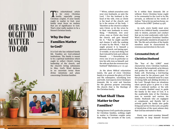*OUR FAMILY* 

*OUGHT TO* 

*MATTER*

*TO GOD*



## Why Do Our Families Matter to God?

It is God who has ordained family life. Families are God-ordained institutions. The family is meant to be a spiritual institution which ought to reflect Christ's loving leadership of the church, and the church's loving submission to Him. God's Word declares in no uncertain terms those divine intentions and plans concerning Christian families:

"22 Wives, submit yourselves unto your own husbands, as unto the Lord.  $23$  For the husband is the head of the wife, even as Christ is the head of the church: and he is the saviour of the body. <sup>24</sup> Therefore as the church is subject unto Christ, so let the wives be to their own husbands in every thing. 25 Husbands, love your wives, even as Christ also loved the church, and gave himself for it; 26 that he might sanctify and cleanse it with the washing of water by the Word, <sup>27</sup> that he might present it to himself a glorious church, not having spot, or wrinkle, or any such thing; but that it should be holy and without blemish … 33 Nevertheless let every one of you in particular so love his wife even as himself; and the wife see that she reverence her husband" (Ephesians  $5:22-27, 33$ ).

As the above biblical exhortation insists, the goal of every Christian family is to promote the glory of Christ and His redemptive, sanctifying love and truth. God expects every Christian's domestic life to exist and function for His glorious purpose concerning His church—that is the theology of the Christian family.

## What Shall Then Matter to Our Families?

Having known God's particular purpose for Christian families, nothing ought to matter to Christian couples more than being the servants of the Lord,

◀ FREEPIK.COM

be it within their domestic life or without. Every Christian home ought to be covenanted to the Lord to be His servants, as reflected in the words of Joshua: "but as for me and my house, we will serve the LORD" (Joshua 24:15b).

As such, every family must avow itself to be a biblical family, committed only to desires, pursuits and conduct that are in total conformity with God's Word. God expects Christians' families to be spiritually-minded in all aspects of life. The life and activities of the family members must be characterised by reverence and devotion to the Lord.

#### Covenantal Duty of

#### Christian Husband

The "fear of the LORD" must characterise every Christian husband, the head of the household, as he labours and guides his wife and children (cf. Psalm 128). Nurturing a God-fearing family must be his primary goal. For this purpose, he himself must be a man of strong faith and abiding devotion to the Lord. Though there are situations when special grace is given to a lady (like a widowed mother, or the wife of a severely disabled man) to guide the family in the ways of God, it is the unalterable duty of the Christian man to nourish and nurture his family. Husbands who are negligent or complacent, and thereby fail to actively guide his family into godly living and service to the Lord, are guilty of dereliction of the most solemn duty that God has entrusted to them.

Every man must examine himself constantly to keep himself focused

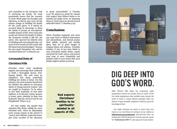and committed to his God-given task of nurturing his family. He must persistently ensure that the counsels of God's Word guide his thoughts and affections, so that he may carry out the solemn charge of building his family for the Lord's glory. It is indeed an accursed thing to encourage or allow the family to pursue an unscriptural, worldly manner of life. Every man who would not instruct his family to follow the Scriptures strictly is like Eli, the priest, who spurned his fatherly duty of rebuking and correcting his sons. Let none of us be vessels of God's wrath, like Eli whom God severely judged, "because his sons made themselves vile, and he restrained them not" (1 Samuel 3:13).

#### Covenantal Duty of

#### Christian Wife

Christian wives must steadfastly support and encourage their husbands to build a thoroughly devout, Godfearing family. The wife must be submissive and meek, prayerfully fulfilling her duties at home. For this purpose, she must examine herself and see whether she adheres to God-given duties of young married women, who are taught by Scripture "to be sober, to love their husbands, to love their children, to be discreet, chaste, keepers at home, good, obedient to their own husbands, that the word of God be not blasphemed" (Titus 2:4-5).

For that matter, the apostle Paul reiterates this divine calling for every Christian wife, when he admonishes every young woman in the church to "marry, bear children, guide the house, give none occasion to the adversary to speak reproachfully" (1 Timothy 5:14). He minces no words for women who neglect their biblical duties to be homely and godly wives, by depicting them as "some (who) are already turned aside after Satan" (1 Timothy 5:15)!

## Conclusion

When Christian husbands and wives pay scant heed to biblical instructions and admonitions, and instead pursue their selfish, material and worldly glory, they are in great danger of reaping shame and sadness. Christian families, if any of you have failed in your God-given family duties, repent and plead for God's mercy, and amend your ways at once! Prayerfully and joyfully settle in your hearts that your family ought to matter to God. ■

> God expects Christians' families to be spirituallyminded in all aspects of life.



# DIG DEEP INTO GOD'S WORD.

Bible Witness Web Radio has on-demand audio programmes catered for peoples from all walks of life. Our audio programmes have enabled many around the world to listen to sound, biblical teachings. There are dozens of topics available, designed to build you up in the knowledge of God.

Our audio resources are easier to access than ever. Listen to our vast library of sermons on our website at biblewitness.com/ondemand. Alternatively, listen via Gethsemane Bible-Presbyterian Church's app. Just search for "Gethsemane BPC" in your app store to get started.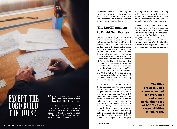

The truths of this verse must be the prayer and hope of every Christian husband and wife who desire to build a home blessed of the Lord. Understanding the spiritual truths imbedded in this

wonderful verse is like drawing the best help and provision for designing and building a house. Three very important truths are found in this verse concerning building our homes.

## The Lord Promises to Build Our Homes

The verse first of all provides us with a divine promise. It gives us a strong indication that the Lord is willing and ready to build our homes. Inherent also in this verse is the Lord's unhappiness with those who do not embrace His promise, and consequently exclude Him from the building of their homes. Scripture is unambiguous that the Lord is deeply interested to build the homes of His people. The Lord does not wish to stand by as an observer when we labour to build our house. He promises to be the Chief Architect and Builder of our homes—this we must believe. Our God is not inactive, but He is in the business of building the homes of those who trust in Him. What a loving and caring God He is!

The apostle Peter reminds us that God's promises are "exceeding great and precious" (2 Peter 1:4). Christian couples should therefore not forget this precious promise that "the LORD build the house" (Psalm 127:1a). The assurance that the Lord is willing to build your house is a precious asset as you live your life together as husband and wife. Though you may be anxious about the future, trust in this promise and look forward with unwavering faith in the Lord who promises to build your home. When you face difficult circumstances in your life, do not give

up, but go to Him in prayer by trusting in His promise. Truly, if God works for us, why should we be pessimistic about life? If God works for us, why should we be anxious or fearful about tomorrow?

How does God build our homes? The Bible says in Proverbs 24:3 that "[t]hrough wisdom is an house builded; and by understanding it is established". In other words, God builds our homes by giving us His wisdom. God has revealed His wisdom in the Bible, that we may know and obey it. The Bible provides God's supreme counsel for every man and woman pertaining to

> The Bible provides God's supreme counsel for every man and woman pertaining to his or her roles and responsibilities in family life.

◀ UNSPLASH.COM

*THE HOUSE*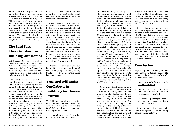his or her roles and responsibilities in family life. If we follow the counsel of God's Word in our daily lives, we shall have our homes built by God. Walk in the way the Lord wants you to walk, then you can be sure that He is moulding your lives for His glory and to your spiritual profitability. Obey His commandments, and He shall prove to you that His commandments are a blessing. "The house of the wicked shall be overthrown: but the tabernacle of the upright shall flourish" (Proverbs 14:11).

## The Lord Says There is Labour in Building Our Homes

Just because God has promised to "build the house", it doesn't mean that we can become indifferent or lazy about the building of our homes. We must not forget that while the Lord builds the house, we are called to be **co-labourers** with Him.

Now, God expects us to work hard according to the opportunity, health and strength He has graciously provided for us. Surely, one of the things that God detests is laziness—"if any would not work, neither should he eat" (2 Thessalonians 3:10). In other words, if you don't bother to work hard, you deserve no food! Men must therefore be diligent in whatever business or service that the Lord gives to them, including building a home. Otherwise they cannot expect to prosper. They must faithfully labour, "not slothful in business; fervent in spirit; serving the Lord" (Romans 12:11). Then shall the Lord's promise to the diligent be fulfilled in his life: "Seest thou a man diligent in his business? he shall stand before kings; he shall not stand before mean men" (Proverbs 22:29).

Women, likewise, are exhorted to diligently work at home to support the husband and to raise a godly family. Just like the virtuous woman, as described in Proverbs 31, who "girdeth her loins with strength, and strengtheneth her arms … She layeth her hands to the spindle, and her hands hold the distaff … She is not afraid of the snow for her household: for all her household are clothed with scarlet … She looketh well to the ways of her household, and eateth not the bread of idleness" (Proverbs 31:17, 19, 21, 27). So much so that "Her children arise up, and call her blessed; her husband also, and he praiseth her" (Proverbs 31:28)!

When the Lord promises to build our homes, He expects us to work out all His will diligently. Without question, building a godly home entails much labour on our part.

## The Lord Will Make Our Labour in Building Our Homes Fruitful

The Bible says that all who build the house without the Lord, labour in vain. In other words, without the Lord's help, our lives and labours are meaningless and fruitless.

It is an observable fact in real life that some work hard and make loads

of money, but they can't sleep well. They live in anxiety and fear. Scriptural insight makes us realise that earthly success in life, accomplished without God, is ultimately vain and empty, devoid of real blessings. An unbelieving man may be a millionaire without God, but what is the use of that high status if life is without true peace with God and with his inner conscience? He may reportedly be worth a million dollars, but he could take none of it with him to his grave. Even the silver plate on the coffin does not belong to him. If anyone had dug the grave, and attempted to take the precious metal away, the late millionaire would not be able to even say, "Leave that there, it is mine." The Bible reminds us, "For we brought nothing into this world, and it is certain we can carry nothing out" (1 Timothy 6:7). No doubt about it, life is a failure if it is only spent in amassing material wealth. One whose life is lived without God finally ends up in hell to suffer the punishment of one's sins. But one who in his life trusts in the Lord Jesus for forgiveness of sins and for wisdom to live righteously, will have wonderful rewards not only in this world but also in heaven.

So, let every Christian couple have the right perspective of what constitutes a successful life. If they follow the Lord who has saved and called them to live for Him, then they will be rewarded with His mighty blessings in this world and in the world to come. Do all that you can as a family for the Lord's glory, then He will grant to your life meaning and blessings untold. Sincerely love one another because the Bible commands it, and the Lord will reward you with a happy home. Serve the Lord in His church because the Bible

instructs believers to do so, and then the Lord will build you a blessed home. Generously support God's work, then "shall thy barns be filled with plenty, and thy presses shall burst out with new wine" (Proverbs 3:10).

Finally, God's bestowal of favour and rewards upon your labours in the building of your homes in accordance with His ways, is further corroborated by Psalm 128:1–4, "Blessed is every one that feareth the LORD; that walketh in his ways. For thou shalt eat the labour of thine hands: happy shalt thou be, and it shalt be well with thee. Thy wife shalt be as a fruitful vine by the sides of thine house: thy children like olive plants round about thy table. Behold, that thus shall the man be blessed that feareth the LORD."

## **Conclusion**

As you daily labour to build your home and nurture a biblical family life, remember the three wonderful truths found in Psalm 127:1a.

- God has a promise for you—that He will build the house.
- God has a precept for you that you must labour with Him, being guided by His Word.
- God has a prospect for you—that He will make your labour meaningful and full of rewards.

May the Lord bless every godly Christian couple with a God-honouring home for His own glory. ■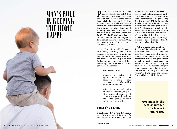## *MAN'S ROLE IN KEEPING THE HOME HAPPY*

**Palm 128—**" Blessed is every one that feareth the LORD; that walketh in his ways. <sup>2</sup> For thou shalt eat the labour of thine hands: one that feareth the LORD; that walketh in his ways. <sup>2</sup> For thou happy shalt thou be, and it shall be well with thee. 3 Thy wife shall be as a fruitful vine by the sides of thine house: thy children like olive plants round about thy table. 4 Behold, that thus shall the man be blessed that feareth the LORD. 5 The LORD shall bless thee out of Zion: and thou shalt see the good of Jerusalem all the days of thy life. <sup>6</sup> Yea, thou shalt see thy children's children, and peace upon Israel."

The above is a biblical picture of a happy and holy home. It is addressed to the man (who is the head of the house). Three aspects of the man's roles and responsibilities (in keeping his home happy and Godhonouring) can be gleaned from this psalm. The man should:

- Fear the LORD  $(v, 1)$ .
- Maintain a loving and joyful atmosphere in the home (v. 3—which portrays<br>harmonious relationships relationships with wife and children).
- Rule his house well with children in subjection (vv. 5, 6 which speaks of seeing "good … all the days of [one's] life and seeing "[one's] children's children, and peace …").

## Fear the LORD

A godly man (that is, "one that feareth the LORD; that walketh in his ways") has the promise of a happy and holy

◀ UNSPLASH.COM

home-life. The "fear of the LORD" is that reverent and loving regard for the LORD which will make a man shrink from transgression (cf. Job 28:28). This fear of the LORD is the essential foundation of the truly happy home. A man's genuine piety guarantees his family's blessedness, which all the wealth and fame in the world cannot secure. Godliness is the best assurance of a blessed family life. It will make his home the scene of purest joy, strongest comfort, and highest domestic happiness and family welfare.

When a man's heart is full of love for God and the Holy Scriptures, all his motives and aims will be sublime and pure. Such a man will walk in the ways of God. In his house, he becomes an unhindered channel of supreme moral as well as spiritual sentiments and emotions. Truth, honesty, purity and holy love will be his pursuits. True piety is not dormant but vibrant. A pious soul will bloom and spread the sweet "aroma" of divine virtues and purposes through his leadership in the home.

> Godliness is the best assurance of a blessed family life.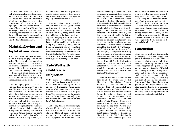A man who fears the LORD will seek after divine pleasure. He endlessly pursues the joy that is in the LORD. His house will have an abundance of wholesome laughter and lyrical expressions of Christian joy. As highlighted by the famous hymn of Ackley, "Jesus is the Joy of Living, He's the King of Life to me; Unto Him my all I'm giving, His forevermore to be. I will do what He commands me, Anywhere He leads I'll go; Jesus is the Joy of Living, He's the dearest Friend I know."

## Maintain Loving and Joyful Atmosphere

A man who fears and loves the LORD is like a happy, singing bird on the hedge. He makes all else sing along with him. He guides his wife, instructs his children, and assures them of divine blessings. Home-life is not always easy. Like the bird on the hedge that is wary of thorns and briers around it, the pious man with divine grace in his heart leads his family safely through many temptations and trials of life.

As the saying goes, "It is an ill bird that fouls its own nest"; so is an ungodly man who makes his own home wretched. Our homes must be full of love, holiness, prayer, joy and mutual care. True conjugal affection (between husband and wife) is a source of lasting and uplifting gladness in the home. Husband and wife ought to maintain throughout life the sweetness and excellency of their relationship through mutual courtesy, self-sacrifice, concession, tender ministry in health and in sickness, and united effort on behalf of others. If at any time they fail to show mutual love and respect, they should quickly repent of their errors, and make every effort to live together in godly affection for each other.

Together they must provide children with a biblical, godly, loving environment to grow up in. By cultivating a warm relationship based on love and care, happy parents help their children to be happy and welladjusted. Keeping a sense of humour (and thereby promoting healthy laughter with your children) will also go a long way to nurturing a happy, vibrant home environment. Proverbs 15:13 tells us, "A merry heart maketh a cheerful countenance: but by sorrow of the heart the spirit is broken" (cf. Proverbs 17:22). A wise mixture of love and firmness should go into nurturing the children.

## Rule Well with Children in Subjection

Godly nurture of children demands respect and obedience towards parents; indeed, children should rejoice to love and respect their parents. Such a happy state of affairs does not just happen. Fathers have a critical role to play here. They are exhorted by the apostle Paul to "bring [their children] up in the nurture and admonition of the Lord" (Ephesians 6:4).

Sad to say, fathers are increasingly distracted by their jobs and businesses from the affectionate nurture of their children. Many of them seem to be unaware of the spiritual damages such negligence can inflict upon their

families, especially their children. Even some men, who are spiritual, appear to have forgotten that they have a fatherly role to fulfil. It is not uncommon to hear of spiritual leaders—like pastors and elders—neglecting their own children's nurture in their enthusiasm to care for the church. But the Bible unequivocally expects that their children will be nurtured to be faithful. After all, one key requirement of an elder is that he be "one that ruleth well his own house, having his children in subjection with all gravity; (for if a man know not how to rule his own house, how shall he take care of the church of God?)" (1 Timothy 3:4-5). Likewise for the deacons (cf. 1 Timothy 3:12). The spiritual nurturing of our children is of grave importance. May none of us take this matter lightly. Otherwise we will receive a rebuke from the Lord, as did Eli, the high priest, did—"For I have told him that I will judge his house for ever for the iniquity which he knoweth; because his sons made themselves vile, and he restrained them not"  $(1$  Samuel  $3:13$ )!

None of our homes should be like that of Eli the priest, who spoiled his children. The wisdom of God's Word says, "Correct thy son, and he shall give thee rest; yea, he shall give delight unto thy soul" (Proverbs 29:17). Not to chasten our children betimes (promptly, early) is disastrous, and it would result in ourselves being "chastened" by the LORD for our neglect of duty! However, this does not mean that we fill our home with "fire and fury" all day long. Parents who hurt their children in their rage at their slightest mistakes, will surely bring about greater trouble to themselves. The principle of biblical discipline is concisely stated in Proverbs 3:12—"For

whom the LORD loveth he correcteth; even as a father the son in whom he delighteth." The clear implication is that a loving father takes the trouble and effort to reprove and correct his child, in order to turn him back onto the right path and restore him to a submissive, harmonious relationship with the father. The objective is never to destroy or condemn the child, but that the child may be restored to a blessed state before the Lord. In short, love, not rage, ought to be the motivation for the parental discipline of children.

## Conclusion

Man's role is vital and instrumental in keeping the home happy and godly. Godliness, not worldliness or materialism, is the source of all divine blessings, including domestic and societal happiness and peace. A home led by a man who fears the LORD shall be a blessing to society. Through their godly and loving actions, exemplary conduct and many prayers for the people and the society in which they live, such a home will be a blessing to those around them. There should be no greater goal and prayer cherished by a Christian man than his pious living and labouring in the home, which in turn will bring about blessings to the church and country, to the glory of God!  $\blacksquare$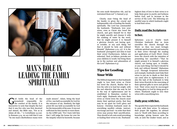

# *MAN'S ROLE IN LEADING THE FAMILY SPIRITUALLY*

od holds the head of the<br>household responsible for<br>the conduct of his family. It is<br>instructive to note that despite the fact household responsible for the conduct of his family. It is instructive to note that despite the fact that it was Eve who was first deceived and sinned, the Bible says, "For as in Adam all die…" (1 Corinthians 15:22a). In Romans 5:19, we are told that it was "by one man's disobedience many were

made sinners". Adam, being the head of Eve, was held accountable by God for the entrance of sin. Similarly, the high priest Eli was held accountable by God for the immorality of his sons. It was not sufficient for him merely to warn them. As the LORD said, "For I have told him that I will judge his house for ever for the iniquity which he knoweth; because

his sons made themselves vile, and he restrained them not" (1 Samuel 3:13).

Clearly, man—being the head of the family—is given the crucial and indispensable role of leading the family spiritually. The Lord has commanded the husbands, "Husbands, love your wives, even as Christ also loved the church, and gave himself for it; that he might sanctify and cleanse it with the washing of water by the word, that he might present it to himself a glorious church, not having spot, or wrinkle, or any such thing; but that it should be holy and without blemish" (Ephesians 5:25–27). It is the husbands' prerogative and duty to lead their wives! Furthermore, fathers are exhorted: "And, ye fathers, provoke not your children to wrath: but bring them up in the nurture and admonition of the Lord" (Ephesians 6:4).

## Tips for Leading Your Wife

The biblical imperative is that husbands ought to love their wives as Christ has loved the church. Realise that to love the wife is to lead her aright, with the end objective that she may be led in the way of righteousness and be established in blameless conduct in God's sight. Husbands who love their wives as Christ loves the church must desire their spiritual purity, that they may be set apart for God's glory and honour. Christian husbands must do everything needful—rebuke, instruct, encourage and lead—in order that their wives may pursue their sanctification. They should at all costs avoid provoking or leading their wives to sin. Husbands'

highest duty of love to their wives is to help them grow in purity and holiness before God, and to increase in the service of the Lord. The following are needful ways in which husbands ought to lead their wives.

#### Daily read the Scriptures

#### to her.

Ephesians 5:25–27 clearly teach Christian husbands that as Jesus sanctifies the church through the Word, so they too must lovingly cultivate spiritual sanctity and maturity in their wives—through the reading and application of God's Word. Christ loves the church with the intention of presenting her sanctified—"That he might present it to himself a glorious church, not having spot, or wrinkle, or any such thing; but that it should be holy and without blemish" (Ephesians 5:27). Through Scriptural instruction and example, husbands must help their wives to put sin to death so that they can come alive to righteousness. It is also the task of the husbands to help their wives flourish in the exercising of their spiritual gifts to serve and glorify God. Their wives must be encouraged to bring glory to God by doing good to others. Husbands ought to love their wives with a sanctifying love.

#### Daily pray with her.

The apostle Peter expected the husbands to pray with their wives. To enhance their prayer life together, he advised men to "dwell with them according to knowledge, giving honour unto the wife, as unto the weaker vessel, and as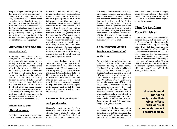being heirs together of the grace of life; that your prayers be not hindered" (1 Peter 3:7). To pray regularly with one's wife, one must know the wife's needs, struggles, fears, and deal with her in an honourable manner. Dealing with her in an honourable manner means that the Christian husband should be careful not to make fun of her weaknesses, but gently and firmly advise her, and then pray with her. It is important that the husband take time to pray with his wife to strengthen her through prayer.

#### Encourage her to seek and

#### serve the Lord.

Admittedly, some wives are too entangled in the household chores of cooking, cleaning, grooming and feeding. Husbands who are overly demanding and critical of their wives' roles in the household affairs will hinder their spiritual pursuit. Husbands must take a leaf from Jesus, who encouraged Martha not to be cumbered with too many things concerning duties in the house (cf. Luke 10:40-42). Husbands must encourage their wives to study God's Word and serve Him in the church in an increasing manner. He must be an encouragement as well as an example in serving the Lord. He must also lend a helping hand in the household chores, so that she can find time to offer her service to the Lord.

#### Exhort her to be a

#### biblical woman.

There is so much pressure on modern Christian women to be secular-minded rather than biblically minded. Sadly, in many contemporary churches (even sound, biblical ones, unfortunately), we see a growing number of mothers (with young children) becoming careerminded and neglecting the clear biblical command to be homemakers (Titus  $2:4-5$ ; 1 Timothy  $5:14$ ). In some other cases, the husbands expect their wives to take on full-time jobs, so they can live in greater comfort. This leaves many a Christian woman struggling, having very little time for children and for their own spiritual nurture and service to the Lord. Many Christian homes will be in a better condition, with their children under better care and discipline, if the mothers are not out of their homes, spending the best hours of their day doing the things of the world.

Let every husband work hard and earn a living, and then learn to live within his means. This is God's expectation (cf. 1 Thessalonians 4:11-12; 1 Timothy 6:6-12). Let every husband make sure that he helps his wife to be a biblical woman, who has sufficient time to watch over the children, household matters and also her own spiritual growth. Husbands must take great care to help their wives not to be entangled in the secular world, so that they have time and energy to excel at home and before the Lord.

#### Commend her good spirit

#### and good works.

Husbands must commend their wives for their efforts at home and church. There must be plenty of appreciation (cf. Proverbs 31:28b—"her husband also, and he praiseth her").

Normally when it comes to criticising, disagreeing, rebuking, men have a lot to say to their wives. How about praising her generously whenever she labours hard and performs well for family, friends and church? Dear Christian husband, make it a point to look at the things that she has been doing daily, and commend her regularly. Husbands must not fail to reciprocate their wives' efforts with words of commendation and encouragement. It is not good that familiarity breeds contempt.

#### Show that your love for

#### her has not diminished

#### with time.

To love their wives as Jesus loved the church, husbands must not allow bitterness to stay in their hearts. "Husbands, love your wives, and be not bitter against them" (Colossians 3:19). On the other hand, true love endures all difficulties and provocations patiently, and ministers with grace and goodness (cf. 1 Corinthians  $13:4-7$ ). Even when the family encounters difficult and tough issues, if the husbands are willing and ready to love, there will be real hope for the family to stay together and rejoice in the Lord. Love is not just an emotional feeling. Love gets into action even though feelings seem to vanish. Love endures, and it just won't give up. Love is a commitment. It does not fade, but glows brighter with time.

That said, the husband does well to remember, from time to time, to do something special that will express his love in new and meaningful ways to his wife. The biblical injunction, "let

us not love in word, neither in tongue; but in deed and in truth" (1 John 3:18), should take on greater meaning for the Christian husband when applied to marital leadership.

## Tips for Leading Your Children

It goes without saying that to lead their children aright, fathers must live in obedience to God. "But the mercy of the LORD is from everlasting to everlasting upon them that fear him, and his righteousness unto children's children; to such as keep his covenant, and to those that remember his commandments to do them" (Psalm 103:17–18). God offers His special promise of mercy to the children of those who fear Him and keep His covenant. The following are indispensable spiritual responsibilities which fathers ought to shoulder in the leading of their children.

> Husbands must not fail to reciprocate their wives' efforts with words of commendation and encouragement.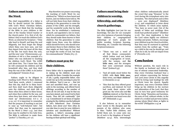#### Fathers must teach

#### the Word.

The chief responsibility of a father is that he should instruct his children with God's Word. Christian fathers, you must not think that the teaching of the Bible to your children is the duty of the Sunday School teacher or the church pastor. It is, first of all, the fathers' duty to teach the children God's Word, as exhorted by Scripture—"Only take heed to thyself, and keep thy soul diligently, lest thou forget the things which thine eyes have seen, and lest they depart from thy heart all the days of thy life: but teach them thy sons, and thy sons' sons" (Deuteronomy 4:9). Abraham of old is a fine example of a father who was dedicated to teaching his children God's Word. The LORD said about him, "For I know him, that he will command his children and his household after him, and they shall keep the way of the LORD, to do justice and judgment" (Genesis 18:19).

Fathers ought to be diligent in teaching God's Word to their children. "And these words, which I command thee this day, shall be in thine heart: and thou shalt teach them diligently unto thy children, and shalt talk of them when thou sittest in thine house, and when thou walkest by the way, and when thou liest down, and when thou risest up" (Deuteronomy 6:6–7; cf. 11:19–20). It is important to remember that the purpose of teaching is not just to raise up "well-behaved kids", but rather that they may be regenerated by the Word (1 Peter 1:23), and then they may be enabled to live holy lives. The Bible is sufficient to make them "perfect"  $(2$  Timothy 3:16–17).

May therefore our prayer concerning the teaching of God's Word (to our children) be: "Which we have heard and known, and our fathers have told us. We will not hide them from their children. shewing to the generation to come the praises of the LORD, and his strength, and his wonderful works that he hath done. For he established a testimony in Jacob, and appointed a law in Israel, which he commanded our fathers, that they should make them known to their children: that the generation to come might know them, even the children which should be born; who should arise and declare them to their children: that they might set their hope in God, and not forget the works of God, but keep his commandments" (Psalm 78:3-7).

#### Fathers must pray for

#### their children.

Every father who is responsible to God in raising up his children must pray specially for them. Consider the example of Job, a godly, responsible father, who would rise up in the morning to pray for his children. "And it was so … that Job sent and sanctified them, and rose up early in the morning, and offered burnt offerings according to the number of them all: for Job said, It may be that my sons have sinned, and cursed God in their hearts. Thus did Job continually" (Job 1:5). Commitment to set times of regular praying for the children was the hallmark of Job's fatherhood. Dear Christian fathers, how about you? How often do you take time to pray for your children's salvation and sanctification? Without question, a father's unceasing prayer for his children will have a significant bearing on their spiritual well-being.

## Fathers must bring their children to worship, fellowship, and other church gatherings.

The Bible highlights (not just for our knowledge, but also for our example) not a few instances of parents bringing their children to congregational gatherings of God's people for public worship, Scripture learning, fellowship, etc. Consider the following Scriptural instances:

- "There was not a word of all that Moses commanded, which Joshua read not before all the congregation of Israel, with the women, and **the little ones**, and the strangers that were conversant among them" (Joshua 8:35).
- "And all Judah stood before the LORD, with **their little ones**, their wives, and **their children**" (2 Chronicles 20:13).
- "Also that day they offered great sacrifices, and rejoiced: for God had made them rejoice with great joy: the wives also and **the children** rejoiced: so that the joy of Jerusalem was heard even afar  $off"$  (Nehemiah 12:43).

It also behoves us to remember Jesus' words to His disciples and the parents of the children who came to Him: "Suffer little children, and forbid them not, to come unto me: for of such is the kingdom of heaven" (Matthew 19:14). Now, interestingly

when children enthusiastically joined the crowd that sang "Hosanna" to the Lord during His triumphant entry into Jerusalem, "the chief priests and scribes … were sore displeased" (Matthew 21:15), and complained to Jesus about the children. To which Jesus replied, "Yea; have ye never read, Out of the mouth of babes and sucklings thou (God) hast perfected praise?" (Matthew 21:16). The clear implication is that the Lord values highly our children's worship and praise. Fathers, encourage your children to go for church activities, that they may be nurtured in spiritual matters from the earliest age. "Train up a child in the way he should go: and when he is old, he will not depart from it" (Proverbs 22:6).

### **Conclusion**

Without question, the man's role in the family as husband and father is one of utmost consecrated leadership. May every Christian husband bear a good witness concerning his Saviour and Lord Jesus Christ in this ungodly world by loving (and leading) his wife as Christ loves the church. Equally important, may every Christian father bring up his children in the nurture and admonition of the Lord, that they may in turn bear good testimony for Christ, being "blameless and harmless, the sons of God, without rebuke, in the midst of a crooked and perverse nation, among whom [they] shine as lights in the world" (Philippians  $2:15$ ).  $\blacksquare$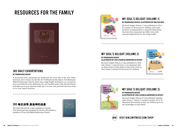## RESOURCES FOR THE FAMILY



## 365 DAILY EXHORTATIONS

#### **BY PRABHUDAS KOSHY**

A devotional book containing one meditation for every day of the year. These devotions were written by the Rev. Dr Prabhudas Koshy, Pastor of Gethsemane Bible-Presbyterian Church. Every day, a page-length meditation on a Scripture text is provided for your edification. It is our humble prayer that this devotional will help you in your spiritual walk. Use it in your own personal devotion time, or for your family devotion.

## 365 每日训导 源自神的话语

*365 Daily Exhortations* is also available in Chinese. This devotional was translated by the Rev. Zhu Jianwei, a preacher of True Life Bible-Presbyterian Church.

365



### MY SOUL'S DELIGHT (VOLUME 1) **BY PRABHUDAS KOSHY, ILLUSTRATED BY MELISSA NEO**

*My Soul's Delight (Volume 1)* was published in 2011. It contains 25 devotions for children, with each devotion accompanied by a colourful illustration. Each devotion expounds one Bible verse, with practical applications for the young reader.

## MY SOUL'S DELIGHT (VOLUME 2) **BY PRABHUDAS KOSHY**

#### **ILLUSTRATED BY ZHU CHUAN & ANDRONICUS KOSHY**

*My Soul's Delight (Volume 2)* was published in 2020. Like *Volume 1*, each devotion is accompanied with an illustration to help children hide God's truth in their hearts. Contains 30 devotions for children.





#### MY SOUL'S DELIGHT (VOLUME 3) **BY PRABHUDAS KOSHY ILLUSTRATED BY ZHU CHUAN & ANDRONICUS KOSHY**

*My Soul's Delight (Volume 3)* was published together with *Volume 2. Volume 3* contains another set of 35 illustrated devotionals to help our children grow in the knowledge of God's Word.



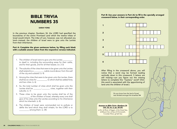# NUMBERS 35

#### SARAH YONG

In the previous chapter, Numbers 34, the LORD had specified the boundaries of the entire Promised Land which the twelve tribes of Israel would inherit. The tribe of Levi, however, was not allocated any land—instead, the children of Israel were to give unto the Levites from their inheritance.

#### Part A: Complete the given sentences below, by filling each blank with a suitable answer taken from the respective verse(s) indicated.

- 1. The children of Israel were to give unto the Levites to dwell in, including the surrounding areas for their cattle, and for their goods, and for all their beasts. (vv. 2-3)
- 2. The suburbs of the cities that were to be given unto the Levites shall extend to a \_\_\_\_\_\_\_\_\_\_ cubits round about, from the wall of the city and outward. (v. 4)
- 3. Among the cities that were to be given unto the Levites, there shall be six cities for \_\_\_\_\_\_\_\_\_\_, to which shall be added forty and two cities. (v. 6)
- 4. So, the total number of cities which shall be given unto the Levites shall be \_\_\_\_\_\_\_\_\_-\_\_\_\_\_\_\_\_\_\_\_ cities, together with their suburbs. (v. 7)
- 5. These cities to be given unto the Levites shall be of the of the children of Israel, whereby every one shall give of his cities unto the Levites according to his inheritance which he inheriteth. (v. 8)
- 6. The children of Israel were commanded not to pollute or defile the land which they shall inhabit, for the LORD is to among them. (v. 34)

Part B: Use your answers in Part (A) to fill in the specially arranged **BIBLE TRIVIA** crossword below, in their corresponding order.



After filling in the crossword above, you will notice that a word may be formed reading vertically down in this crossword. 5 letters are still missing—can you figure out the missing letters to complete this "mystery" word? (Hint: this word is associated with the apportioning of land unto the children of Israel.)

> *Do you know how the land of Israel was divided amongst the Israelites? ►*

#### Answers to Bible Trivia—Numbers 34 (Vol. 22, Iss. 2, pp. 28–29)

a) Zin, b) River of Egypt, c) the Great Sea, d) Mount Hor, e) Sea of Chinnereth, f) Jordan River, g) Salt Sea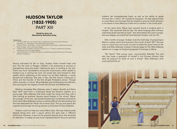## HUDSON TAYLOR (1832-1905) *PART XIII*

#### Retold by Jenny Lok Illustrated by Andronicus Koshy

#### *Retold from:*

- *• "To China With Love" by Hudson Taylor, published by Dimension Books, Bethany Fellowship, Inc., Minneapolis, Minnesota, the United States*
- *• "Hudson Taylor—God's Man in China" by Dr & Mrs Howard Taylor, published by Moody Press, Chicago, Illinois, the United States*
- *• "Hudson Taylor and Maria, Pioneers in China" by J. C. Pollock, published by Kingsway Publications Ltd, the United Kingdom*
- *• "God's Adventurer" by Phyllis Thompson, published by Overseas Missionary Fellowship (IHQ) Ltd, Singapore*

Having entrusted his life to God, Hudson threw himself heart and soul into the work in Ningpo, whether it be preaching at services or evangelising along the street, helping the poor or tending to the sick. There was much camaraderie among the missionaries, which added to Hudson's joy in serving the Lord. He would also look forward to their weekly dinner gathering at the school run by Miss Aldersey, a nearly 60-year-old missionary. She was, in fact, the first woman missionary in China and the founder of this first all-girls Protestant school. Though rather eccentric in nature, Miss Aldersey was hardworking and efficient, thus earning her the respect of both the Chinese and Westerners.

Working alongside Miss Aldersey were 2 sisters—Burella and Maria Dyer. Both were from a missionary family but became orphans at a young age. Miss Aldersey took them under her wings and they, with a little training as teachers, became good helpers in her school. Maria, the younger of the two, was tender-hearted and completely devoted to God. Life at Miss Aldersey's school could be difficult and demanding, but she had dedicated her whole life to serve God. The joy and peace she experienced through her loving service to God were all that mattered.

Hudson could not help but notice Maria Dyer. She was indeed pretty despite being born with a squint (where the eyes look in different directions). However, it was not her physical beauty alone that attracted his attention. In reality, he was much impressed by her focus on spiritual

matters, her compassionate heart, as well as her ability to speak Chinese like a native. On numerous occasions, he had opportunities to meet Maria, but he knew that he needed to pray for God's direction in his desire to have Maria as a wife and co-worker in the Lord's work.

At the same time, Maria had certainly found a kindred spirit in Hudson. She could see that he had "the same longings after holiness, usefulness [and] nearness to God". She went before the Lord in prayer, and was deeply convicted that God had sent Hudson into her life.

After months of prayer, Hudson took the bold step of proposing to Maria in a letter, which she received in the month of April 1857. She was truly on cloud nine and could not wait to break the good news to her sister and Miss Aldersey! Instead of being happy for her, Miss Aldersey lashed out in anger at Hudson's proposal of marriage to Maria.

"Mr Taylor? That young, poor, unconnected Nobody! The one who has made a spectacle of himself in his Chinese clothes! How dare he presume to think of such a thing?" Miss Aldersey's shrill voice pierced the air.

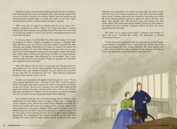Maria was totally crushed by Miss Aldersey's harsh criticism of Hudson. Not heeding Maria's misery and distress, Miss Aldersey demanded that she write a letter of rejection to Hudson. Maria's tears fell rapidly as she composed the dreaded letter in words that were not her own. Upon receiving Maria's letter, Hudson's heart was also in anguish.

"Will I ever see her again? Is it God's plan for me to marry her?" Hudson wondered in sorrow. Within him, there was also a strange feeling that Miss Aldersey was possibly behind the letter! In such times of uncertainty, Hudson turned to his Saviour, and gradually peace and hope filled his heart.

In mid-July, about 3 months after the unfavourable reply to his letter of proposal to Maria, Hudson managed to arrange a meeting with Miss Aldersey. From his interview with her, Hudson realised that Miss Aldersey was deeply offended by his failure to consult her before his proposal to Maria. On top of that, Maria was 20 years old, just one year shy of her 21st birthday (the legal age for marriage). Hudson felt that he had indeed been careless and was quick to admit it to Miss Aldersey, saying, "I do apologise, Miss Aldersey, for my oversight. Truly, I have much to learn from this big blunder. Please be gracious to reconsider your objection to our marriage."

"Well, Mr Taylor, truth be told, I cannot give you the permission to marry Maria, for I am not her legal guardian. She has actually an uncle, Mr William Tarn, who resides in England. If you so desire, you may write to him. But first, I'll correspond with him." Miss Aldersey addressed Hudson civilly, with her nose in the air.

Hudson was overjoyed as thoughts raced through his mind: "This is truly a great discovery! Now I can write to Mr Tarn to ask for Maria's hand in marriage. But, wait a minute! For a start, I must speak with Maria to get her consent. But how am I going to do that? Miss Aldersey has given strict instructions that I should neither talk to Maria nor visit her! May the Lord help me!" Hudson's initial excitement turned into anxiety and, for a moment, he was speechless before Miss Aldersey.

God certainly had His way of working things out for Hudson. The opportunity to meet Maria came a couple of days later. It happened at the Joneses' home, where the Ladies' Prayer Meeting was held. Mr Jones and Hudson (who was then staying at the Joneses' place) were away preaching to the opium addicts. After prayer, the ladies had just settled down for tea when news of a waterspout (a whirling column of air and water mist) breaking over the city of Ningpo came suddenly. Apparently, the waterspout had moved forcefully up the river and flooded the entire city! To make matters worse, torrents of rain soon

followed and everywhere, the water was knee-high. By God's mercy, both Mr Jones and Hudson managed to make their way home safely. Upon arrival, Hudson was told to go directly to the study room while Mr Jones would proceed upstairs to greet the ladies. By then, only Maria and another lady, Mrs Bausum, were left waiting for their sedan chairs. Mrs Jones was sitting nearby, praying for the safety of her guests and her husband. Everyone looked up when Mr Jones appeared at the doorway.

"My dear, I'm so glad you're back! I presume that Hudson is back with you?" inquired Mrs Jones, her expression a mixture of relief and concern.

"Thank God for His protection! We are safe and sound. Mr Hudson is now waiting in the study room. I will send him up and see if the two young people can have a short meeting," Mr Jones replied with a slight smile on his face. Maria blushed at the mention of Hudson's name, and said softly, "I shall be glad to meet with him."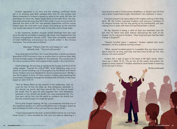Hudson appeared in no time and the meeting confirmed God's will in an amazing way! Both pledged their love for one another and Maria consented to Hudson's request to write to her uncle, Mr Tarn, for permission to marry her. Many happy faces surrounded them that day, and what tremendous joy they felt in the midst of such loving friends! As planned, the letter to Mr Tarn was speedily dispatched, and the couple waited upon the Lord with much prayer and patience as the returned mail would take about 4 months (due to the slow mail in those days).

In the meantime, Hudson enjoyed untold blessings from the Lord since the day he and fellow missionary, Mr Jones, had resigned from the Chinese Evangelisation Society (CES). They were constantly reminded of God's faithfulness and provision by 2 scrolls written in the Chinese characters. The words were as follows:

> Ebenezer, "Hitherto hath the Lord helped us"; and Jehovah-Jireh, "The Lord will provide".

Truly, God did not fail them, for in early November, a timely remittance (payment) of \$214 arrived in time to enable them to continue their daily (except Sunday) supply of breakfast for the destitute. This was but one of the many occasions when God supplied their needs in the nick of time.

God's blessings did not stop at satisfying the hunger and thirst of His needy people. Towards the end of 1857, amid disturbing news of an attack on Canton (trading city of Guangzhou) by the British and French forces, Hudson was most delighted to receive a precious soul—Mr Nyi into the kingdom of God. On that occasion, Hudson was preaching the Good News of salvation through the finished work of Christ on the cross, based on John 3:14–17,

"And as Moses lifted up the serpent in the wilderness, even so must the Son of man be lifted up: that whosoever believeth in him should not perish, but have eternal life. For God so loved the world, that he gave his only begotten Son, that whosoever believeth in him should not perish, but have everlasting life. For God sent not his Son into the world to condemn the world; but that the world through him might be saved."

During that Gospel meeting, Mr Nyi, a businessman and also one of the respected leaders of a reformed Buddhist sect in Ningpo, stood up and confessed his faith in the Lord and Saviour Jesus Christ:

"I have long sought for the truth, as did my father before me, but I have never found it. I have travelled far and near, but without obtaining it. I

have found no rest in Confucianism, Buddhism, or Taoism, but I do find rest in what I heard here tonight. Henceforth I am a believer in Jesus."

Everyone present was astounded at the mighty working of the Holy Spirit. Mr Nyi further surprised Hudson—and previous members of his religious society—by not only giving up his membership, but also making time to share with them his new-found faith in Christ.

Mr Nyi rejoiced in being a child of God, but lamented over the fact that his father had died without discovering the truth of the Gospel. So he inquired of Hudson, "How long have you had the Glad Tidings in England?"

"Several hundred years, I suppose," Hudson replied with some hesitation, his face suddenly turning crimson.

"What, several hundred years! Is it possible that you have known about Jesus for so long, and only now had come to tell us? Oh, why did you not come sooner?"

Hudson felt a stab of pain in his heart at Mr Nyi's words. Didn't Jesus say in Mark 16:15, "Go ye into all the world, and preach the gospel to every creature"? Hudson resolved to work harder in reaching out to the lost in China…

*(To be continued)*